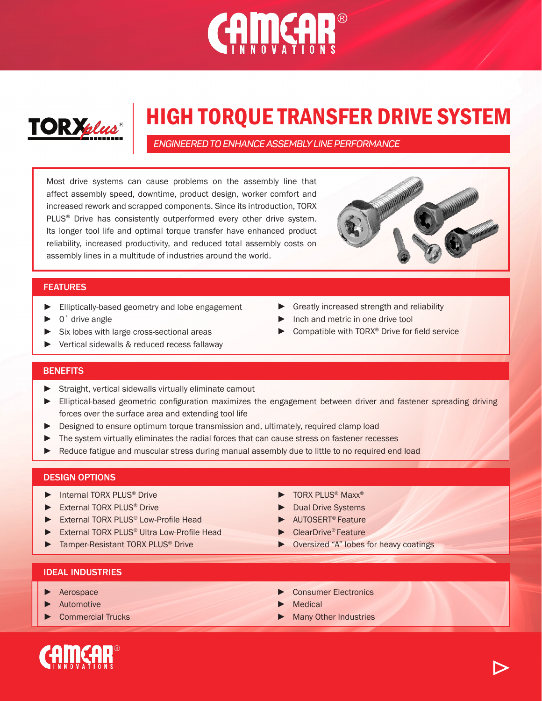# CAMCAR®



## HIGH TORQUE TRANSFER DRIVE SYSTEM

*ENGINEERED TO ENHANCE ASSEMBLY LINE PERFORMANCE* 

Most drive systems can cause problems on the assembly line that affect assembly speed, downtime, product design, worker comfort and increased rework and scrapped components. Since its introduction, TORX PLUS<sup>®</sup> Drive has consistently outperformed every other drive system. Its longer tool life and optimal torque transfer have enhanced product reliability, increased productivity, and reduced total assembly costs on assembly lines in a multitude of industries around the world.



## **FEATURES**

- ► Elliptically-based geometry and lobe engagement
- ► 0˚ drive angle
- ► Six lobes with large cross-sectional areas
- ► Vertical sidewalls & reduced recess fallaway
- ► Greatly increased strength and reliability
- Inch and metric in one drive tool
- Compatible with TORX<sup>®</sup> Drive for field service

## **BENEFITS**

- ► Straight, vertical sidewalls virtually eliminate camout
- ► Elliptical-based geometric configuration maximizes the engagement between driver and fastener spreading driving forces over the surface area and extending tool life
- ► Designed to ensure optimum torque transmission and, ultimately, required clamp load
- ► The system virtually eliminates the radial forces that can cause stress on fastener recesses
- Reduce fatigue and muscular stress during manual assembly due to little to no required end load

## DESIGN OPTIONS

- ► Internal TORX PLUS® Drive
- ► External TORX PLUS® Drive
- External TORX PLUS<sup>®</sup> Low-Profile Head
- External TORX PLUS<sup>®</sup> Ultra Low-Profile Head
- Tamper-Resistant TORX PLUS<sup>®</sup> Drive
- ► TORX PLUS® Maxx®
- ► Dual Drive Systems
- ► AUTOSERT® Feature
- ► ClearDrive® Feature
- ► Oversized "A" lobes for heavy coatings

## IDEAL INDUSTRIES

- ► Aerospace
- ► Automotive
- ► Commercial Trucks
- Consumer Flectronics
- **Medical**
- Many Other Industries